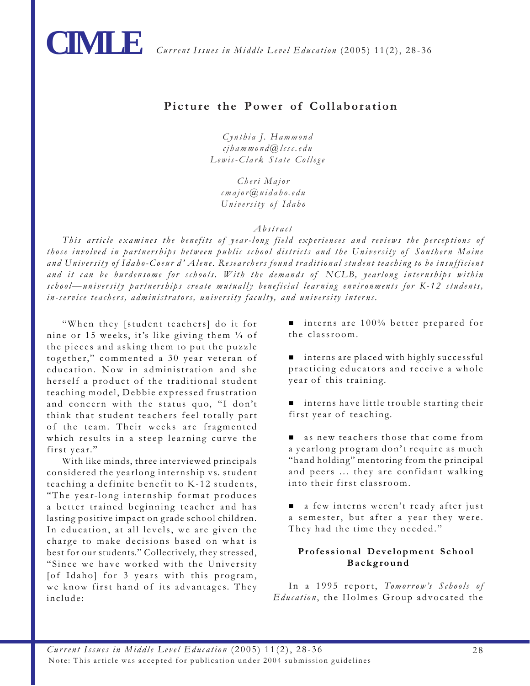

# **Picture the Power of Collaboration**

*Cynthia J. Hammond cjhammond@lcsc.edu Lewis-Clark State College*

*Cheri Major cmajor@uidaho.edu University of Idaho*

#### *Abstract*

*This article examines the benefits of year-long field experiences and reviews the perceptions of those involved in partnerships between public school districts and the University of Southern Maine and University of Idaho-Coeur d' Alene. Researchers found traditional student teaching to be insufficient and it can be burdensome for schools. With the demands of NCLB, yearlong internships within school—university partnerships create mutually beneficial learning environments for K-12 students, in-service teachers, administrators, university faculty, and university interns.*

"When they [student teachers] do it for nine or 15 weeks, it's like giving them ¼ of the pieces and asking them to put the puzzle together," commented a 30 year veteran of education. Now in administration and she herself a product of the traditional student teaching model, Debbie expressed frustration and concern with the status quo, "I don't think that student teachers feel totally part of the team. Their weeks are fragmented which results in a steep learning curve the first year."

With like minds, three interviewed principals considered the yearlong internship vs. student teaching a definite benefit to K-12 students, "The year-long internship format produces a better trained beginning teacher and has lasting positive impact on grade school children. In education, at all levels, we are given the charge to make decisions based on what is best for our students." Collectively, they stressed, "Since we have worked with the University [of Idaho] for 3 years with this program, we know first hand of its advantages. They include:

■ interns are 100% better prepared for the classroom.

- interns are placed with highly successful practicing educators and receive a whole year of this training.
- interns have little trouble starting their first year of teaching.
- as new teachers those that come from a yearlong program don't require as much "hand holding" mentoring from the principal and peers ... they are confidant walking into their first classroom. .
- a few interns weren't ready after just a semester, but after a year they were. They had the time they needed."

### **Professional Development School Background**

In a 1995 report, *Tomorrow's Schools of Education* , the Holmes Group advocated the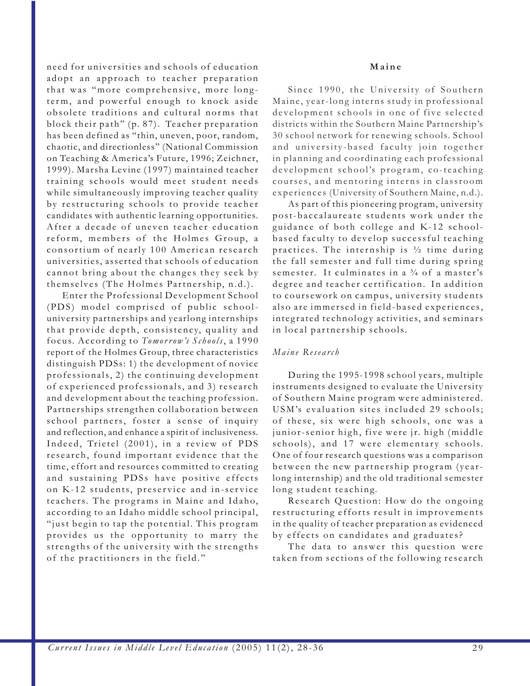need for universities and schools of education adopt an approach to teacher preparation that was "more comprehensive, more longterm, and powerful enough to knock aside obsolete traditions and cultural norms that block their path" (p. 87). Teacher preparation has been defined as "thin, uneven, poor, random, chaotic, and directionless" (National Commission on Teaching & America's Future, 1996; Zeichner, 1999). Marsha Levine (1997) maintained teacher training schools would meet student needs while simultaneously improving teacher quality by restructuring schools to provide teacher candidates with authentic learning opportunities. After a decade of uneven teacher education reform, members of the Holmes Group, a consortium of nearly 100 American research universities, asserted that schools of education cannot bring about the changes they seek by themselves (The Holmes Partnership, n.d.).

Enter the Professional Development School (PDS) model comprised of public schooluniversity partnerships and yearlong internships that provide depth, consistency, quality and focus. According to *Tomor row's Schools*, a 1990 report of the Holmes Group, three characteristics distinguish PDSs: 1) the development of novice professionals, 2) the continuing development of experienced professionals, and 3) research and development about the teaching profession. Partnerships strengthen collaboration between school partners, foster a sense of inquiry and reflection, and enhance a spirit of inclusiveness. Indeed, Trietel (2001), in a review of PDS research, found important evidence that the time, effort and resources committed to creating and sustaining PDSs have positive effects on K-12 students, preservice and in-service teachers. The programs in Maine and Idaho, according to an Idaho middle school principal, "just begin to tap the potential. This program provides us the opportunity to marry the strengths of the university with the strengths of the practitioners in the field."

#### **Maine**

Since 1990, the University of Southern Maine, year-long interns study in professional development schools in one of five selected districts within the Southern Maine Partnership's 30 school network for renewing schools. School and university-based faculty join together in planning and coordinating each professional development school's program, co-teaching courses, and mentoring interns in classroom experiences (University of Southern Maine, n.d.).

As part of this pioneering program, university post-baccalaureate students work under the guidance of both college and K-12 schoolbased faculty to develop successful teaching practices. The internship is ½ time during the fall semester and full time during spring semester. It culminates in a  $\frac{3}{4}$  of a master's degree and teacher certification. In addition to coursework on campus, university students also are immersed in field-based experiences, integrated technology activities, and seminars in local partnership schools.

#### *Maine Research*

During the 1995-1998 school years, multiple instruments designed to evaluate the University of Southern Maine program were administered. USM's evaluation sites included 29 schools; of these, six were high schools, one was a junior-senior high, five were jr. high (middle schools), and 17 were elementary schools. One of four research questions was a comparison between the new partnership program (yearlong internship) and the old traditional semester long student teaching.

Research Question: How do the ongoing restructuring efforts result in improvements in the quality of teacher preparation as evidenced by effects on candidates and graduates?

The data to answer this question were taken from sections of the following research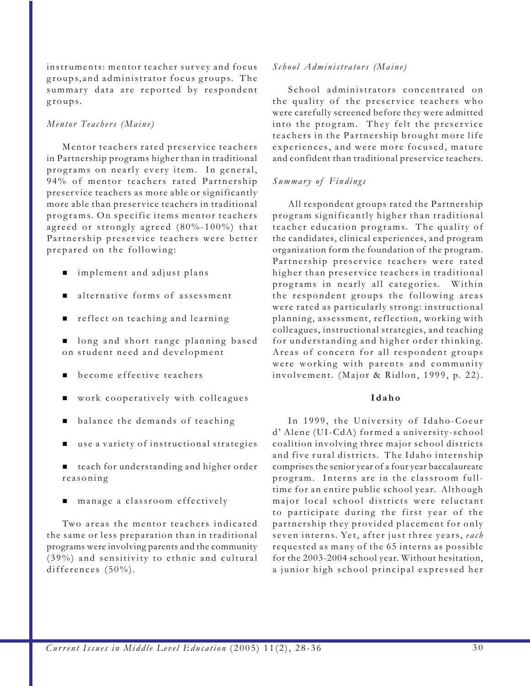instruments: mentor teacher survey and focus groups, and administrator focus groups. The summary data are reported by respondent groups.

#### *Mentor Teachers (Maine)*

Mentor teachers rated preservice teachers in Partnership programs higher than in traditional programs on nearly every item. In general, 94% of mentor teachers rated Partnership preservice teachers as more able or significantly more able than preservice teachers in traditional programs. On specific items mentor teachers agreed or strongly agreed (80%-100%) that Partnership preservice teachers were better prepared on the following:

- implement and adjust plans
- alternative forms of assessment
- reflect on teaching and learning

**n** long and short range planning based on student need and development

- become effective teachers
- work cooperatively with colleagues
- balance the demands of teaching
- use a variety of instructional strategies
- teach for understanding and higher order reasoning
- manage a classroom effectively

Two areas the mentor teachers indicated the same or less preparation than in traditional programs were involving parents and the community (39%) and sensitivity to ethnic and cultural differences (50%).

### *School Administrators (Maine)*

School administrators concentrated on the quality of the preservice teachers who were carefully screened before they were admitted into the program. They felt the preservice teachers in the Partnership brought more life experiences, and were more focused, mature and confident than traditional preservice teachers.

#### *Summary of Findings*

All respondent groups rated the Partnership program significantly higher than traditional teacher education programs. The quality of the candidates, clinical experiences, and program organization form the foundation of the program. Partnership preservice teachers were rated higher than preservice teachers in traditional programs in nearly all categories. Within the respondent groups the following areas were rated as particularly strong: instructional planning, assessment, reflection, working with colleagues, instructional strategies, and teaching for understanding and higher order thinking. Areas of concern for all respondent groups were working with parents and community involvement. (Major & Ridlon, 1999, p. 22).

#### **Idaho**

In 1999, the University of Idaho-Coeur d' Alene (UI-CdA) formed a university-school coalition involving three major school districts and five rural districts. The Idaho internship comprises the senior year of a four year baccalaureate program. Interns are in the classroom fulltime for an entire public school year. Although major local school districts were reluctant to participate during the first year of the partnership they provided placement for only seven interns. Yet, after just three years, *each* requested as many of the 65 interns as possible for the 2003-2004 school year. Without hesitation, a junior high school principal expressed her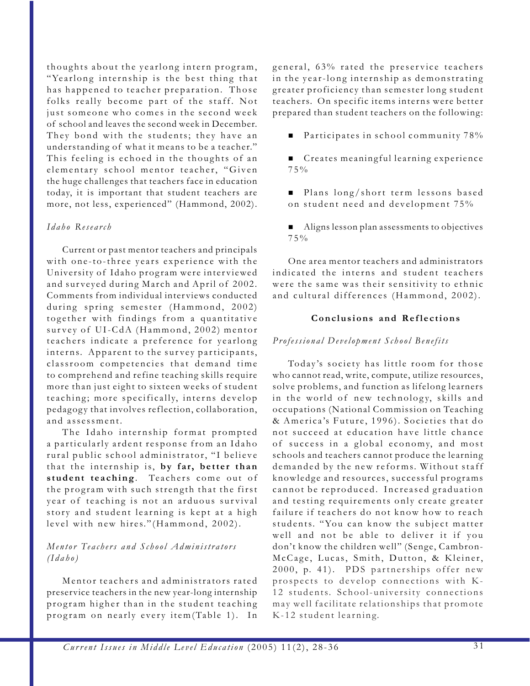thoughts about the yearlong intern program, "Yearlong internship is the best thing that has happened to teacher preparation. Those folks really become part of the staff. Not just someone who comes in the second week of school and leaves the second week in December. They bond with the students; they have an understanding of what it means to be a teacher." This feeling is echoed in the thoughts of an elementary school mentor teacher, "Given the huge challenges that teachers face in education today, it is important that student teachers are more, not less, experienced" (Hammond, 2002).

### *Idaho Research*

Current or past mentor teachers and principals with one-to-three years experience with the University of Idaho program were interviewed and surveyed during March and April of 2002. Comments from individual interviews conducted during spring semester (Hammond, 2002) together with findings from a quantitative survey of UI-CdA (Hammond, 2002) mentor teachers indicate a preference for yearlong interns. Apparent to the survey participants, classroom competencies that demand time to comprehend and refine teaching skills require more than just eight to sixteen weeks of student teaching; more specifically, interns develop pedagogy that involves reflection, collaboration, and assessment.

The Idaho internship format prompted a particularly ardent response from an Idaho rural public school administrator, "I believe that the internship is, **by far, better than** student teaching. Teachers come out of the program with such strength that the first year of teaching is not an arduous survival story and student learning is kept at a high level with new hires."(Hammond, 2002).

# *Mentor Teachers and School Administrators (Idaho)*

Mentor teachers and administrators rated preservice teachers in the new year-long internship program higher than in the student teaching program on nearly every item(Table 1). In

general, 63% rated the preservice teachers in the year-long internship as demonstrating greater proficiency than semester long student teachers. On specific items interns were better prepared than student teachers on the following:

- Participates in school community  $78\%$
- Creates meaningful learning experience 75%
- Plans long/short term lessons based on student need and development 75%
- $\blacksquare$  Aligns lesson plan assessments to objectives 75%

One area mentor teachers and administrators indicated the interns and student teachers were the same was their sensitivity to ethnic and cultural differences (Hammond, 2002).

# **Conclusions and Reflections**

# *Professional Development School Benefits*

Today's society has little room for those who cannot read, write, compute, utilize resources, solve problems, and function as lifelong learners in the world of new technology, skills and occupations (National Commission on Teaching & America's Future, 1996). Societies that do not succeed at education have little chance of success in a global economy, and most schools and teachers cannot produce the learning demanded by the new reforms. Without staff knowledge and resources, successful programs cannot be reproduced. Increased graduation and testing requirements only create greater failure if teachers do not know how to reach students. "You can know the subject matter well and not be able to deliver it if you don't know the children well" (Senge, Cambron-McCage, Lucas, Smith, Dutton, & Kleiner, 2000, p. 41). PDS partnerships offer new prospects to develop connections with K-12 students. School-university connections may well facilitate relationships that promote K-12 student learning.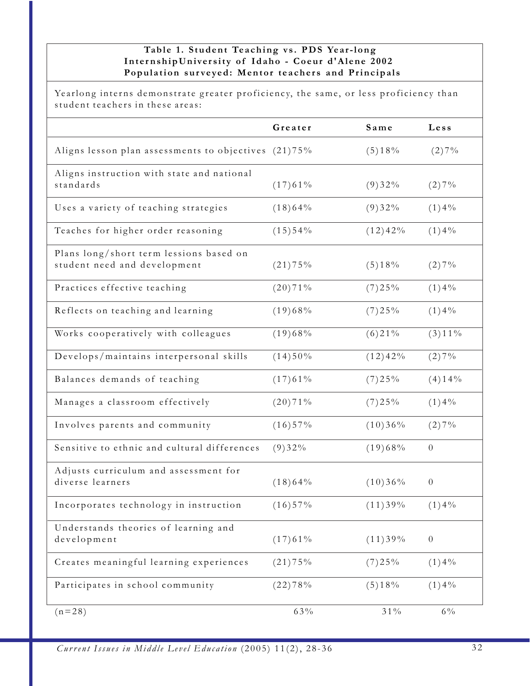# **Table 1. Student Teaching vs. PDS Year-long InternshipUniversity of Idaho - Coeur d'Alene 2002 Population surveyed: Mentor teachers and Principals**

Yearlong interns demonstrate greater proficiency, the same, or less proficiency than student teachers in these areas:

|                                                                         | Greater    | Same       | Less             |
|-------------------------------------------------------------------------|------------|------------|------------------|
| Aligns lesson plan assessments to objectives (21)75%                    |            | (5)18%     | (2)7%            |
| Aligns instruction with state and national<br>standards                 | (17)61%    | (9)32%     | (2)7%            |
| Uses a variety of teaching strategies                                   | (18)64%    | (9)32%     | $(1)4\%$         |
| Teaches for higher order reasoning                                      | $(15)$ 54% | (12)42%    | $(1)4\%$         |
| Plans long/short term lessions based on<br>student need and development | (21)75%    | (5)18%     | (2)7%            |
| Practices effective teaching                                            | (20)71%    | $(7)$ 25%  | $(1)4\%$         |
| Reflects on teaching and learning                                       | (19)68%    | $(7)$ 25%  | $(1)4\%$         |
| Works cooperatively with colleagues                                     | (19)68%    | $(6)$ 21%  | $(3)11\%$        |
| Develops/maintains interpersonal skills                                 | (14)50%    | (12)42%    | (2)7%            |
| Balances demands of teaching                                            | (17)61%    | $(7)$ 25%  | (4)14%           |
| Manages a classroom effectively                                         | (20)71%    | $(7)$ 25%  | $(1)4\%$         |
| Involves parents and community                                          | $(16)$ 57% | (10)36%    | (2)7%            |
| Sensitive to ethnic and cultural differences                            | (9)32%     | (19)68%    | $\theta$         |
| Adjusts curriculum and assessment for<br>diverse learners               | (18)64%    | (10)36%    | $\theta$         |
| Incorporates technology in instruction                                  | $(16)$ 57% | (11)39%    | (1)4%            |
| Understands theories of learning and<br>development                     | (17)61%    | (11)39%    | $\boldsymbol{0}$ |
| Creates meaningful learning experiences                                 | (21)75%    | $(7)$ 25%  | (1)4%            |
| Participates in school community                                        | (22)78%    | (5)18%     | $(1)4\%$         |
| $(n=28)$                                                                | 63%        | $3\,1\,\%$ | $6\%$            |

*Current Issues in Middle Level Education* (2005) 11(2), 28-36 32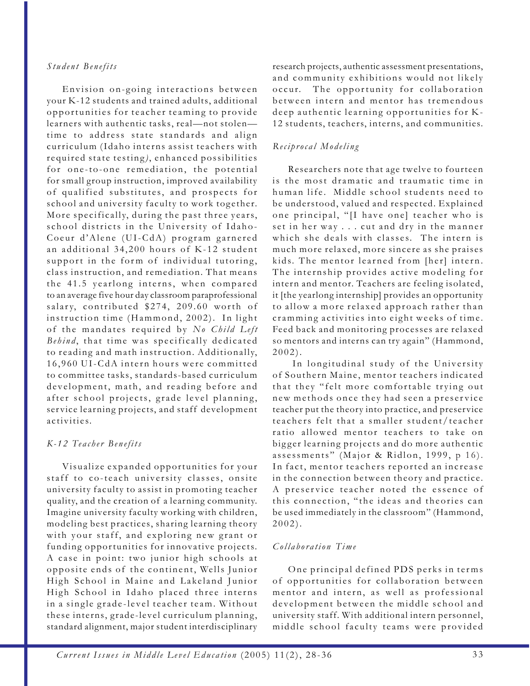#### *Student Benefits*

Envision on-going interactions between your K-12 students and trained adults, additional opportunities for teacher teaming to provide learners with authentic tasks, real—not stolen time to address state standards and align curriculum (Idaho interns assist teachers with required state testing), enhanced possibilities for one-to-one remediation, the potential for small group instruction, improved availability of qualified substitutes, and prospects for school and university faculty to work together. More specifically, during the past three years, school districts in the University of Idaho-Coeur d'Alene (UI-CdA) program garnered an additional 34,200 hours of K-12 student support in the form of individual tutoring, class instruction, and remediation. That means the 41.5 yearlong interns, when compared to an average five hour day classroom paraprofessional salary, contributed \$274, 209.60 worth of instruction time (Hammond, 2002). In light of the mandates required by *No Child Left Behind* , that time was specifically dedicated to reading and math instruction. Additionally, 16,960 UI-CdA intern hours were committed to committee tasks, standards-based curriculum development, math, and reading before and after school projects, grade level planning, service learning projects, and staff development activities.

### *K-12 Teacher Benefits*

Visualize expanded opportunities for your staff to co-teach university classes, onsite university faculty to assist in promoting teacher quality, and the creation of a learning community. Imagine university faculty working with children, modeling best practices, sharing learning theory with your staff, and exploring new grant or funding opportunities for innovative projects. A case in point: two junior high schools at opposite ends of the continent, Wells Junior High School in Maine and Lakeland Junior High School in Idaho placed three interns in a single grade-level teacher team. Without these interns, grade-level curriculum planning, standard alignment, major student interdisciplinary

research projects, authentic assessment presentations, and community exhibitions would not likely occur. The opportunity for collaboration between intern and mentor has tremendous deep authentic learning opportunities for K-12 students, teachers, interns, and communities.

# *Reciprocal Modeling*

Researchers note that age twelve to fourteen is the most dramatic and traumatic time in human life. Middle school students need to be understood, valued and respected. Explained one principal, "[I have one] teacher who is set in her way . . . cut and dry in the manner which she deals with classes. The intern is much more relaxed, more sincere as she praises kids. The mentor learned from [her] intern. The internship provides active modeling for intern and mentor. Teachers are feeling isolated, it [the yearlong internship] provides an opportunity to allow a more relaxed approach rather than cramming activities into eight weeks of time. Feed back and monitoring processes are relaxed so mentors and interns can try again" (Hammond, 2002).

 In longitudinal study of the University of Southern Maine, mentor teachers indicated that they "felt more comfortable trying out new methods once they had seen a preservice teacher put the theory into practice, and preservice teachers felt that a smaller student/teacher ratio allowed mentor teachers to take on bigger learning projects and do more authentic assessments" (Major & Ridlon, 1999, p 16). In fact, mentor teachers reported an increase in the connection between theory and practice. A preservice teacher noted the essence of this connection, "the ideas and theories can be used immediately in the classroom" (Hammond, 2002).

### *Collaboration Time*

One principal defined PDS perks in terms of opportunities for collaboration between mentor and intern, as well as professional development between the middle school and university staff. With additional intern personnel, middle school faculty teams were provided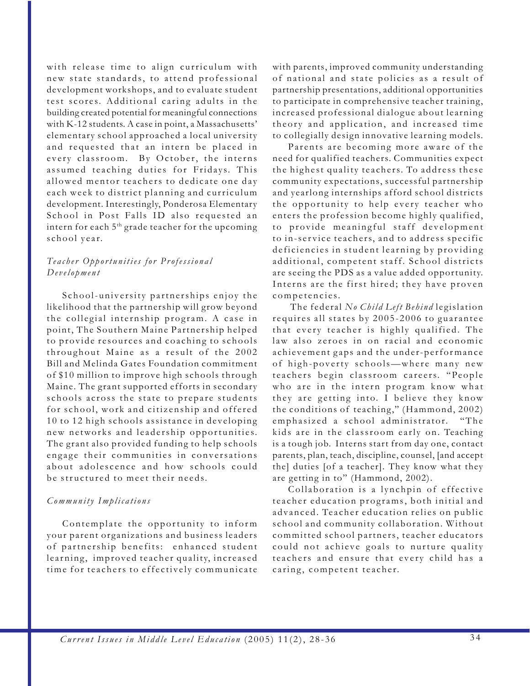with release time to align curriculum with new state standards, to attend professional development workshops, and to evaluate student test scores. Additional caring adults in the building created potential for meaningful connections with K-12 students. A case in point, a Massachusetts' elementary school approached a local university and requested that an intern be placed in every classroom. By October, the interns assumed teaching duties for Fridays. This allowed mentor teachers to dedicate one day each week to district planning and curriculum development. Interestingly, Ponderosa Elementary School in Post Falls ID also requested an intern for each  $5<sup>th</sup>$  grade teacher for the upcoming school year.

### *Teacher Opportunities for Professional Development*

School-university partnerships enjoy the likelihood that the partnership will grow beyond the collegial internship program. A case in point, The Southern Maine Partnership helped to provide resources and coaching to schools throughout Maine as a result of the 2002 Bill and Melinda Gates Foundation commitment of \$10 million to improve high schools through Maine. The grant supported efforts in secondary schools across the state to prepare students for school, work and citizenship and offered 10 to 12 high schools assistance in developing new networks and leadership opportunities. The grant also provided funding to help schools engage their communities in conversations about adolescence and how schools could be structured to meet their needs.

### *Community Implications*

Contemplate the opportunity to inform your parent organizations and business leaders of partnership benefits: enhanced student learning, improved teacher quality, increased time for teachers to effectively communicate

with parents, improved community understanding of national and state policies as a result of partnership presentations, additional opportunities to participate in comprehensive teacher training, increased professional dialogue about learning theory and application, and increased time to collegially design innovative learning models.

Parents are becoming more aware of the need for qualified teachers. Communities expect the highest quality teachers. To address these community expectations, successful partnership and yearlong internships afford school districts the opportunity to help every teacher who enters the profession become highly qualified, to provide meaningful staff development to in-service teachers, and to address specific deficiencies in student learning by providing additional, competent staff. School districts are seeing the PDS as a value added opportunity. Interns are the first hired; they have proven competencies.

 The federal *No Child Left Behind* legislation requires all states by 2005-2006 to guarantee that every teacher is highly qualified. The law also zeroes in on racial and economic achievement gaps and the under-performance of high-poverty schools—where many new teachers begin classroom careers. "People who are in the intern program know what they are getting into. I believe they know the conditions of teaching," (Hammond, 2002) emphasized a school administrator. "The kids are in the classroom early on. Teaching is a tough job. Interns start from day one, contact parents, plan, teach, discipline, counsel, [and accept the] duties [of a teacher]. They know what they are getting in to" (Hammond, 2002).

Collaboration is a lynchpin of effective teacher education programs, both initial and advanced. Teacher education relies on public school and community collaboration. Without committed school partners, teacher educators could not achieve goals to nurture quality teachers and ensure that every child has a caring, competent teacher.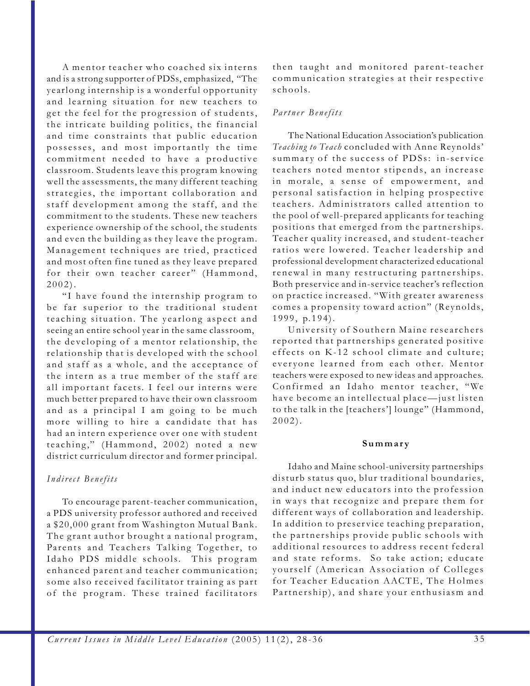A mentor teacher who coached six interns and is a strong supporter of PDSs, emphasized, "The yearlong internship is a wonderful opportunity and learning situation for new teachers to get the feel for the progression of students, the intricate building politics, the financial and time constraints that public education possesses, and most importantly the time commitment needed to have a productive classroom. Students leave this program knowing well the assessments, the many different teaching strategies, the important collaboration and staff development among the staff, and the commitment to the students. These new teachers experience ownership of the school, the students and even the building as they leave the program. Management techniques are tried, practiced and most often fine tuned as they leave prepared for their own teacher career" (Hammond, 2002).

"I have found the internship program to be far superior to the traditional student teaching situation. The yearlong aspect and seeing an entire school year in the same classroom, the developing of a mentor relationship, the relationship that is developed with the school and staff as a whole, and the acceptance of the intern as a true member of the staff are all important facets. I feel our interns were much better prepared to have their own classroom and as a principal I am going to be much more willing to hire a candidate that has had an intern experience over one with student teaching," (Hammond, 2002) noted a new district curriculum director and former principal.

### *Indirect Benefits*

To encourage parent-teacher communication, a PDS university professor authored and received a \$20,000 grant from Washington Mutual Bank. The grant author brought a national program, Parents and Teachers Talking Together, to Idaho PDS middle schools. This program enhanced parent and teacher communication; some also received facilitator training as part of the program. These trained facilitators

then taught and monitored parent-teacher communication strategies at their respective schools.

#### *Partner Benefits*

The National Education Association's publication *Teaching to Teach* concluded with Anne Reynolds' summary of the success of PDSs: in-service teachers noted mentor stipends, an increase in morale, a sense of empowerment, and personal satisfaction in helping prospective teachers. Administrators called attention to the pool of well-prepared applicants for teaching positions that emerged from the partnerships. Teacher quality increased, and student-teacher ratios were lowered. Teacher leadership and professional development characterized educational renewal in many restructuring partnerships. Both preservice and in-service teacher's reflection on practice increased. "With greater awareness comes a propensity toward action" (Reynolds, 1999, p.194).

University of Southern Maine researchers reported that partnerships generated positive effects on K-12 school climate and culture; everyone learned from each other. Mentor teachers were exposed to new ideas and approaches. Confirmed an Idaho mentor teacher, "We have become an intellectual place—just listen to the talk in the [teachers'] lounge" (Hammond, 2002).

#### **Summary**

Idaho and Maine school-university partnerships disturb status quo, blur traditional boundaries, and induct new educators into the profession in ways that recognize and prepare them for different ways of collaboration and leadership. In addition to preservice teaching preparation, the partnerships provide public schools with additional resources to address recent federal and state reforms. So take action; educate yourself (American Association of Colleges for Teacher Education AACTE, The Holmes Partnership), and share your enthusiasm and

*Current Issues in Middle Level Education* (2005) 11(2), 28-36 35